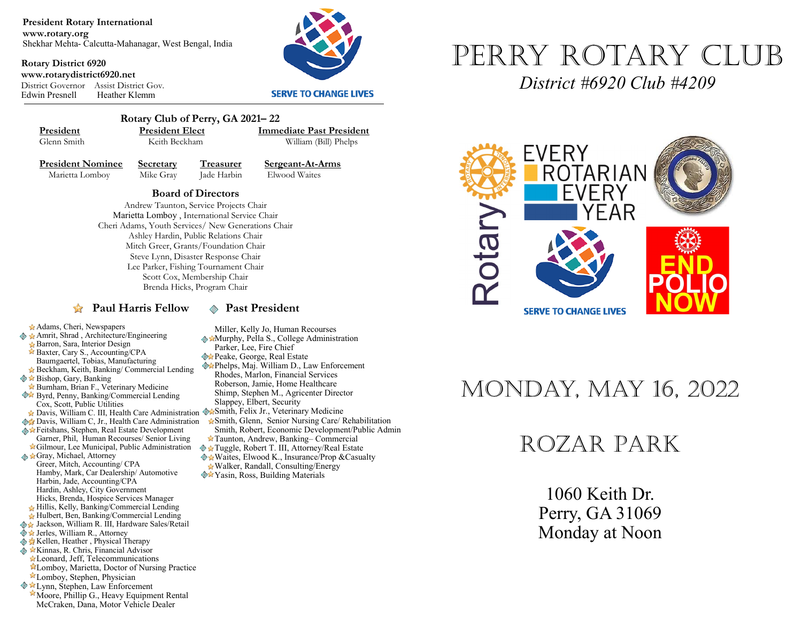**President Rotary International www.rotary.org** Shekhar Mehta- Calcutta-Mahanagar, West Bengal, India

**Rotary District 6920 www.rotarydistrict6920.net** District Governor Assist District Gov. Heather Klemm



#### **SERVE TO CHANGE LIVES**



 **Rotary Club of Perry, GA 2021– 22 President President Elect Immediate Past President**<br> **Glenn Smith Reith Beckham William (Bill) Phelns** 

William (Bill) Phelps

**President Nominee Secretary Treasurer Sergeant-At-Arms**<br>Marietta Lomboy Mike Gray **Lade Harbin** Elwood Waites Marietta Lomboy Mike Gray Jade Harbin

**Board of Directors** 

Andrew Taunton, Service Projects Chair Marietta Lomboy , International Service Chair Cheri Adams, Youth Services/ New Generations Chair Ashley Hardin, Public Relations Chair Mitch Greer, Grants/Foundation Chair Steve Lynn, Disaster Response Chair Lee Parker, Fishing Tournament Chair Scott Cox, Membership Chair Brenda Hicks, Program Chair

#### **Paul Harris Fellow**  $\otimes$  **Past President**

Miller, Kelly Jo, Human Recourses **Murphy, Pella S., College Administration** 

- Parker, Lee, Fire Chief
- **Peake, George, Real Estate**
- Phelps, Maj. William D., Law Enforcement Rhodes, Marlon, Financial Services Roberson, Jamie, Home Healthcare Shimp, Stephen M., Agricenter Director Slappey, Elbert, Security
- Davis, William C. III, Health Care Administration WaSmith, Felix Jr., Veterinary Medicine
	- Smith, Glenn, Senior Nursing Care/ Rehabilitation Smith, Robert, Economic Development/Public Admin
	- Taunton, Andrew, Banking– Commercial
	- Tuggle, Robert T. III, Attorney/Real Estate   $\triangle$  **\*** Waites, Elwood K., Insurance/Prop & Casualty Walker, Randall, Consulting/Energy
	- **<sup>◆★</sup>Yasin, Ross, Building Materials**



*District #6920 Club #4209*



## Monday, May 16, 2022

### Rozar Park

1060 Keith Dr. Perry, GA 31069 Monday at Noon

Barron, Sara, Interior Design Baxter, Cary S., Accounting/CPA

Adams, Cheri, Newspapers ◆ ★ Amrit, Shrad, Architecture/Engineering

- Baumgaertel, Tobias, Manufacturing
- Beckham, Keith, Banking/ Commercial Lending
- $\diamondsuit$  **★ Bishop, Gary, Banking**
- Burnham, Brian F., Veterinary Medicine  Byrd, Penny, Banking/Commercial Lending
- Cox, Scott, Public Utilities
- **Davis, William C, Jr., Health Care Administration**
- Feitshans, Stephen, Real Estate Development
- Garner, Phil, Human Recourses/ Senior Living Gilmour, Lee Municipal, Public Administration Gray, Michael, Attorney
- Greer, Mitch, Accounting/ CPA Hamby, Mark, Car Dealership/ Automotive Harbin, Jade, Accounting/CPA Hardin, Ashley, City Government Hicks, Brenda, Hospice Services Manager
- Hillis, Kelly, Banking/Commercial Lending
- Hulbert, Ben, Banking/Commercial Lending
- ◆ Jackson, William R. III, Hardware Sales/Retail
- ◆ ★ Jerles, William R., Attorney
- **Kellen, Heather , Physical Therapy External Advisor** & Kinnas, R. Chris, Financial Advisor
- Leonard, Jeff, Telecommunications
- Lomboy, Marietta, Doctor of Nursing Practice
- Lomboy, Stephen, Physician
- **Ext** Lynn, Stephen, Law Enforcement
- Moore, Phillip G., Heavy Equipment Rental McCraken, Dana, Motor Vehicle Dealer